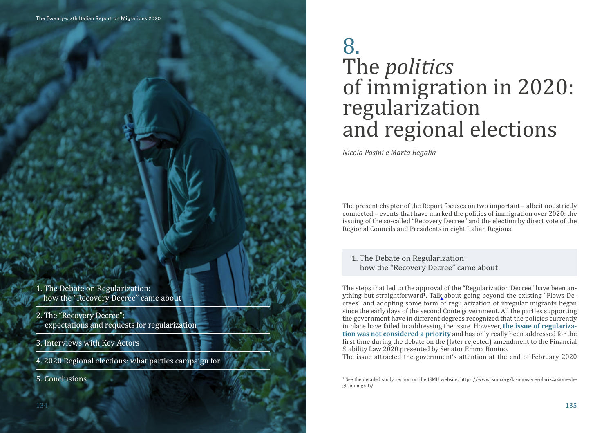# 8. The *politics* of immigration in 2020: regularization and regional elections

*Nicola Pasini e Marta Regalia*

The present chapter of the Report focuses on two important – albeit not strictly connected – events that have marked the politics of immigration over 2020: the issuing of the so-called "Recovery Decree" and the election by direct vote of the Regional Councils and Presidents in eight Italian Regions.

1. The Debate on Regularization: how the "Recovery Decree" came about

The steps that led to the approval of the "Regularization Decree" have been anything but straightforward**1**. Talk about going beyond the existing "Flows Decrees" and adopting some form of regularization of irregular migrants began since the early days of the second Conte government. All the parties supporting the government have in different degrees recognized that the policies currently in place have failed in addressing the issue. However, **the issue of regularization was not considered a priority** and has only really been addressed for the first time during the debate on the (later rejected) amendment to the Financial Stability Law 2020 presented by Senator Emma Bonino.

The issue attracted the government's attention at the end of February 2020

1 See the detailed study section on the ISMU website: [https://www.ismu.org/la-nuova-regolarizzazione-de](https://www.ismu.org/la-nuova-regolarizzazione-degli-immigrati/)[gli-immigrati/](https://www.ismu.org/la-nuova-regolarizzazione-degli-immigrati/)

1. The Debate on Regularization: how the "Recovery Decree" came about

2. The "Recovery Decree": expectations and requests for regularization

3. Interviews with Key Actors

- 4. 2020 Regional elections: what parties campaign for
- 5. Conclusions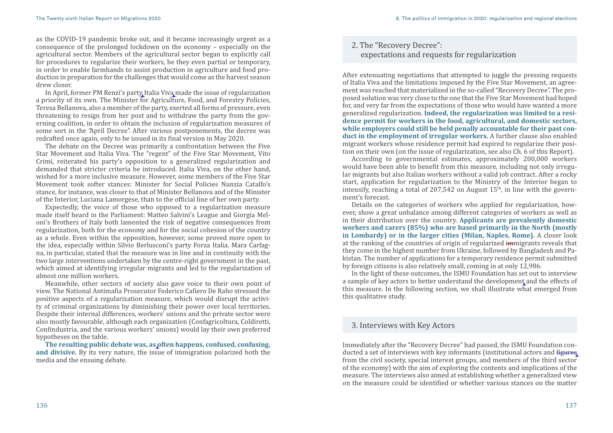as the COVID-19 pandemic broke out, and it became increasingly urgent as a consequence of the prolonged lockdown on the economy – especially on the agricultural sector. Members of the agricultural sector began to explicitly call for procedures to regularize their workers, be they even partial or temporary, in order to enable farmhands to assist production in agriculture and food production in preparation for the challenges that would come as the harvest season drew closer.

In April, former PM Renzi's party Italia Viva made the issue of regularization a priority of its own. The Minister for Agriculture, Food, and Forestry Policies, Teresa Bellanova, also a member of the party, exerted all forms of pressure, even threatening to resign from her post and to withdraw the party from the governing coalition, in order to obtain the inclusion of regularization measures of some sort in the "April Decree". After various postponements, the decree was redrafted once again, only to be issued in its final version in May 2020.

The debate on the Decree was primarily a confrontation between the Five Star Movement and Italia Viva. The "regent" of the Five Star Movement, Vito Crimi, reiterated his party's opposition to a generalized regularization and demanded that stricter criteria be introduced. Italia Viva, on the other hand, wished for a more inclusive measure. However, some members of the Five Star Movement took softer stances: Minister for Social Policies Nunzia Catalfo's stance, for instance, was closer to that of Minister Bellanova and of the Minister of the Interior, Luciana Lamorgese, than to the official line of her own party.

Expectedly, the voice of those who opposed to a regularization measure made itself heard in the Parliament: Matteo Salvini's League and Giorgia Meloni's Brothers of Italy both lamented the risk of negative consequences from regularization, both for the economy and for the social cohesion of the country as a whole. Even within the opposition, however, some proved more open to the idea, especially within Silvio Berlusconi's party Forza Italia. Mara Carfagna, in particular, stated that the measure was in line and in continuity with the two large interventions undertaken by the centre-right government in the past, which aimed at identifying irregular migrants and led to the regularization of almost one million workers.

Meanwhile, other sectors of society also gave voice to their own point of view. The National Antimafia Prosecutor Federico Cafiero De Raho stressed the positive aspects of a regularization measure, which would disrupt the activity of criminal organizations by diminishing their power over local territories. Despite their internal differences, workers' unions and the private sector were also mostly favourable, although each organization (Confagricoltura, Coldiretti, Confindustria, and the various workers' unions) would lay their own preferred hypotheses on the table.

**The resulting public debate was, as often happens, confused, confusing, and divisive.** By its very nature, the issue of immigration polarized both the media and the ensuing debate.

### 2. The "Recovery Decree": expectations and requests for regularization

After extenuating negotiations that attempted to juggle the pressing requests of Italia Viva and the limitations imposed by the Five Star Movement, an agreement was reached that materialized in the so-called "Recovery Decree". The proposed solution was very close to the one that the Five Star Movement had hoped for, and very far from the expectations of those who would have wanted a more generalized regularization. **Indeed, the regularization was limited to a residence permit for workers in the food, agricultural, and domestic sectors, while employers could still be held penally accountable for their past conduct in the employment of irregular workers.** A further clause also enabled migrant workers whose residence permit had expired to regularize their position on their own (on the issue of regularization, see also Ch. 6 of this Report).

According to governmental estimates, approximately 200,000 workers would have been able to benefit from this measure, including not only irregular migrants but also Italian workers without a valid job contract. After a rocky start, application for regularization to the Ministry of the Interior began to intensify, reaching a total of 207,542 on August  $15<sup>th</sup>$ , in line with the government's forecast.

Details on the categories of workers who applied for regularization, however, show a great unbalance among different categories of workers as well as in their distribution over the country. **Applicants are prevalently domestic workers and carers (85%) who are based primarily in the North (mostly in Lombardy) or in the larger cities (Milan, Naples, Rome).** A closer look at the ranking of the countries of origin of regularized immigrants reveals that they come in the highest number from Ukraine, followed by Bangladesh and Pakistan. The number of applications for a temporary residence permit submitted by foreign citizens is also relatively small, coming in at only 12,986.

In the light of these outcomes, the ISMU Foundation has set out to interview a sample of key actors to better understand the development and the effects of this measure. In the following section, we shall illustrate what emerged from this qualitative study.

## 3. Interviews with Key Actors

Immediately after the "Recovery Decree" had passed, the ISMU Foundation conducted a set of interviews with key informants (institutional actors and *figures* from the civil society, special interest groups, and members of the third sector of the economy) with the aim of exploring the contents and implications of the measure. The interviews also aimed at establishing whether a generalized view on the measure could be identified or whether various stances on the matter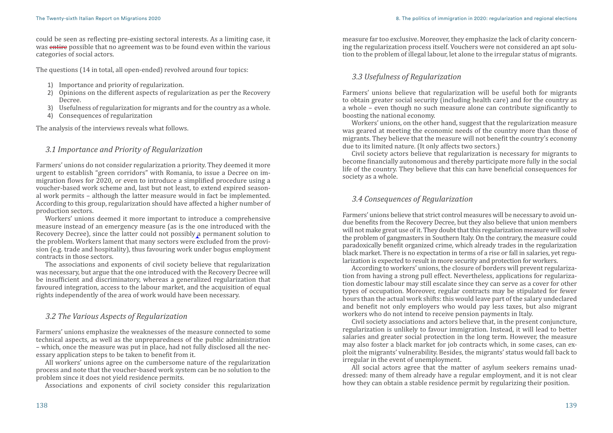could be seen as reflecting pre-existing sectoral interests. As a limiting case, it was entire possible that no agreement was to be found even within the various categories of social actors.

The questions (14 in total, all open-ended) revolved around four topics:

- 1) Importance and priority of regularization.
- 2) Opinions on the different aspects of regularization as per the Recovery Decree.
- 3) Usefulness of regularization for migrants and for the country as a whole.
- 4) Consequences of regularization

The analysis of the interviews reveals what follows.

#### *3.1 Importance and Priority of Regularization*

Farmers' unions do not consider regularization a priority. They deemed it more urgent to establish "green corridors" with Romania, to issue a Decree on immigration flows for 2020, or even to introduce a simplified procedure using a voucher-based work scheme and, last but not least, to extend expired seasonal work permits – although the latter measure would in fact be implemented. According to this group, regularization should have affected a higher number of production sectors.

Workers' unions deemed it more important to introduce a comprehensive measure instead of an emergency measure (as is the one introduced with the Recovery Decree), since the latter could not possibly a permanent solution to the problem. Workers lament that many sectors were excluded from the provision (e.g. trade and hospitality), thus favouring work under bogus employment contracts in those sectors.

The associations and exponents of civil society believe that regularization was necessary, but argue that the one introduced with the Recovery Decree will be insufficient and discriminatory, whereas a generalized regularization that favoured integration, access to the labour market, and the acquisition of equal rights independently of the area of work would have been necessary.

## *3.2 The Various Aspects of Regularization*

Farmers' unions emphasize the weaknesses of the measure connected to some technical aspects, as well as the unpreparedness of the public administration – which, once the measure was put in place, had not fully disclosed all the necessary application steps to be taken to benefit from it.

All workers' unions agree on the cumbersome nature of the regularization process and note that the voucher-based work system can be no solution to the problem since it does not yield residence permits.

Associations and exponents of civil society consider this regularization

measure far too exclusive. Moreover, they emphasize the lack of clarity concerning the regularization process itself. Vouchers were not considered an apt solution to the problem of illegal labour, let alone to the irregular status of migrants.

### *3.3 Usefulness of Regularization*

Farmers' unions believe that regularization will be useful both for migrants to obtain greater social security (including health care) and for the country as a whole – even though no such measure alone can contribute significantly to boosting the national economy.

Workers' unions, on the other hand, suggest that the regularization measure was geared at meeting the economic needs of the country more than those of migrants. They believe that the measure will not benefit the country's economy due to its limited nature. (It only affects two sectors.)

Civil society actors believe that regularization is necessary for migrants to become financially autonomous and thereby participate more fully in the social life of the country. They believe that this can have beneficial consequences for society as a whole.

### *3.4 Consequences of Regularization*

Farmers' unions believe that strict control measures will be necessary to avoid undue benefits from the Recovery Decree, but they also believe that union members will not make great use of it. They doubt that this regularization measure will solve the problem of gangmasters in Southern Italy. On the contrary, the measure could paradoxically benefit organized crime, which already trades in the regularization black market. There is no expectation in terms of a rise or fall in salaries, yet regularization is expected to result in more security and protection for workers.

According to workers' unions, the closure of borders will prevent regularization from having a strong pull effect. Nevertheless, applications for regularization domestic labour may still escalate since they can serve as a cover for other types of occupation. Moreover, regular contracts may be stipulated for fewer hours than the actual work shifts: this would leave part of the salary undeclared and benefit not only employers who would pay less taxes, but also migrant workers who do not intend to receive pension payments in Italy.

Civil society associations and actors believe that, in the present conjuncture, regularization is unlikely to favour immigration. Instead, it will lead to better salaries and greater social protection in the long term. However, the measure may also foster a black market for job contracts which, in some cases, can exploit the migrants' vulnerability. Besides, the migrants' status would fall back to irregular in the event of unemployment.

All social actors agree that the matter of asylum seekers remains unaddressed: many of them already have a regular employment, and it is not clear how they can obtain a stable residence permit by regularizing their position.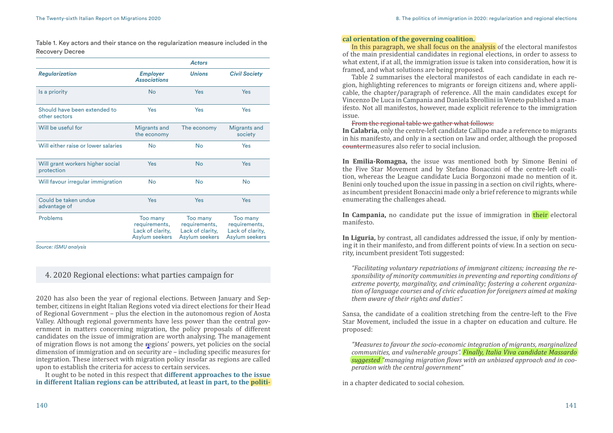Table 1. Key actors and their stance on the regularization measure included in the Recovery Decree

|                                                | <b>Actors</b>                                                   |                                                                 |                                                                 |  |  |
|------------------------------------------------|-----------------------------------------------------------------|-----------------------------------------------------------------|-----------------------------------------------------------------|--|--|
| <b>Regularization</b>                          | <b>Employer</b><br><b>Associations</b>                          | <b>Unions</b>                                                   | <b>Civil Society</b>                                            |  |  |
| Is a priority                                  | No                                                              | Yes                                                             | Yes                                                             |  |  |
| Should have been extended to<br>other sectors  | Yes                                                             | Yes                                                             | Yes                                                             |  |  |
| Will be useful for                             | Migrants and<br>the economy                                     | The economy                                                     | Migrants and<br>society                                         |  |  |
| Will either raise or lower salaries            | <b>No</b>                                                       | No                                                              | Yes                                                             |  |  |
| Will grant workers higher social<br>protection | Yes                                                             | <b>No</b>                                                       | Yes                                                             |  |  |
| Will favour irregular immigration              | No                                                              | No                                                              | <b>No</b>                                                       |  |  |
| Could be taken undue<br>advantage of           | Yes                                                             | Yes                                                             | Yes                                                             |  |  |
| Problems                                       | Too many<br>requirements,<br>Lack of clarity,<br>Asylum seekers | Too many<br>requirements,<br>Lack of clarity,<br>Asylum seekers | Too many<br>requirements,<br>Lack of clarity,<br>Asylum seekers |  |  |

*Source: ISMU analysis*

#### 4. 2020 Regional elections: what parties campaign for

2020 has also been the year of regional elections. Between January and September, citizens in eight Italian Regions voted via direct elections for their Head of Regional Government – plus the election in the autonomous region of Aosta Valley. Although regional governments have less power than the central government in matters concerning migration, the policy proposals of different candidates on the issue of immigration are worth analysing. The management of migration flows is not among the regions' powers, yet policies on the social dimension of immigration and on security are – including specific measures for integration. These intersect with migration policy insofar as regions are called upon to establish the criteria for access to certain services.

It ought to be noted in this respect that **different approaches to the issue in different Italian regions can be attributed, at least in part, to the politi-**

#### **cal orientation of the governing coalition.**

In this paragraph, we shall focus on the analysis of the electoral manifestos of the main presidential candidates in regional elections, in order to assess to what extent, if at all, the immigration issue is taken into consideration, how it is framed, and what solutions are being proposed.

Table 2 summarises the electoral manifestos of each candidate in each region, highlighting references to migrants or foreign citizens and, where applicable, the chapter/paragraph of reference. All the main candidates except for Vincenzo De Luca in Campania and Daniela Sbrollini in Veneto published a manifesto. Not all manifestos, however, made explicit reference to the immigration issue.

#### From the regional table we gather what follows:

**In Calabria,** only the centre-left candidate Callipo made a reference to migrants in his manifesto, and only in a section on law and order, although the proposed countermeasures also refer to social inclusion.

**In Emilia-Romagna,** the issue was mentioned both by Simone Benini of the Five Star Movement and by Stefano Bonaccini of the centre-left coalition, whereas the League candidate Lucia Borgonzoni made no mention of it. Benini only touched upon the issue in passing in a section on civil rights, whereas incumbent president Bonaccini made only a brief reference to migrants while enumerating the challenges ahead.

In Campania, no candidate put the issue of immigration in their electoral manifesto.

**In Liguria,** by contrast, all candidates addressed the issue, if only by mentioning it in their manifesto, and from different points of view. In a section on security, incumbent president Toti suggested:

*"Facilitating voluntary repatriations of immigrant citizens; increasing the responsibility of minority communities in preventing and reporting conditions of extreme poverty, marginality, and criminality; fostering a coherent organization of language courses and of civic education for foreigners aimed at making them aware of their rights and duties".*

Sansa, the candidate of a coalition stretching from the centre-left to the Five Star Movement, included the issue in a chapter on education and culture. He proposed:

*"Measures to favour the socio-economic integration of migrants, marginalized communities, and vulnerable groups". Finally, Italia Viva candidate Massardo suggested "managing migration flows with an unbiased approach and in cooperation with the central government"*

in a chapter dedicated to social cohesion.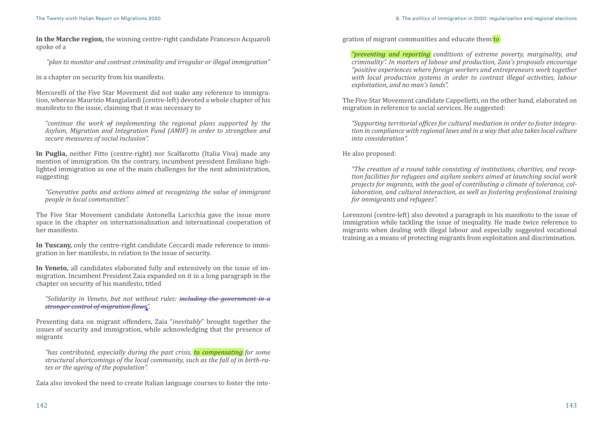**In the Marche region,** the winning centre-right candidate Francesco Acquaroli spoke of a

 *"plan to monitor and contrast criminality and irregular or illegal immigration"* 

in a chapter on security from his manifesto.

Mercorelli of the Five Star Movement did not make any reference to immigration, whereas Maurizio Mangialardi (centre-left) devoted a whole chapter of his manifesto to the issue, claiming that it was necessary to

*"continue the work of implementing the regional plans supported by the Asylum, Migration and Integration Fund (AMIF) in order to strengthen and secure measures of social inclusion".* 

**In Puglia,** neither Fitto (centre-right) nor Scalfarotto (Italia Viva) made any mention of immigration. On the contrary, incumbent president Emiliano highlighted immigration as one of the main challenges for the next administration, suggesting:

*"Generative paths and actions aimed at recognizing the value of immigrant people in local communities".* 

The Five Star Movement candidate Antonella Laricchia gave the issue more space in the chapter on internationalisation and international cooperation of her manifesto.

**In Tuscany,** only the centre-right candidate Ceccardi made reference to immigration in her manifesto, in relation to the issue of security.

**In Veneto,** all candidates elaborated fully and extensively on the issue of immigration. Incumbent President Zaia expanded on it in a long paragraph in the chapter on security of his manifesto, titled

*"Solidarity in Veneto, but not without rules: including the government in a stronger control of migration flows".* 

Presenting data on migrant offenders, Zaia "*inevitably*" brought together the issues of security and immigration, while acknowledging that the presence of migrants

*"has contributed, especially during the past crisis, to compensating for some structural shortcomings of the local community, such as the fall of in birth-rates or the ageing of the population".* 

Zaia also invoked the need to create Italian language courses to foster the inte-

gration of migrant communities and educate them to

*"preventing and reporting conditions of extreme poverty, marginality, and criminality". In matters of labour and production, Zaia's proposals encourage "positive experiences where foreign workers and entrepreneurs work together with local production systems in order to contrast illegal activities, labour exploitation, and no man's lands".* 

The Five Star Movement candidate Cappelletti, on the other hand, elaborated on migration in reference to social services. He suggested:

*"Supporting territorial offices for cultural mediation in order to foster integration in compliance with regional laws and in a way that also takes local culture into consideration".* 

He also proposed:

*"The creation of a round table consisting of institutions, charities, and reception facilities for refugees and asylum seekers aimed at launching social work projects for migrants, with the goal of contributing a climate of tolerance, collaboration, and cultural interaction, as well as fostering professional training for immigrants and refugees".* 

Lorenzoni (centre-left) also devoted a paragraph in his manifesto to the issue of immigration while tackling the issue of inequality. He made twice reference to migrants when dealing with illegal labour and especially suggested vocational training as a means of protecting migrants from exploitation and discrimination.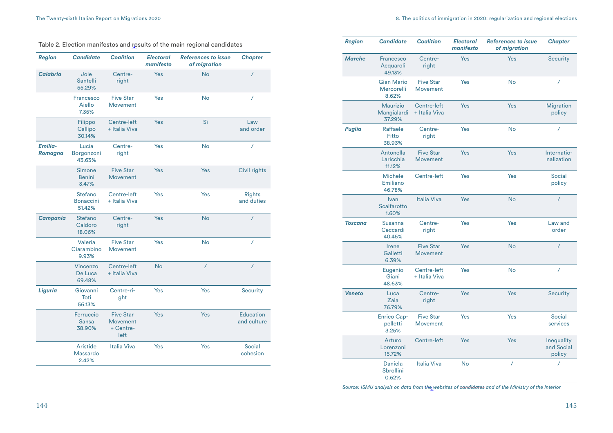| <b>Region</b>                    | <b>Candidate</b>                      | <b>Coalition</b>                                         | <b>Electoral</b><br>manifesto | <b>References to issue</b><br>of migration | <b>Chapter</b>                  |
|----------------------------------|---------------------------------------|----------------------------------------------------------|-------------------------------|--------------------------------------------|---------------------------------|
| <b>Calabria</b>                  | Jole<br>Santelli<br>55.29%            | Centre-<br>right                                         | Yes                           | <b>No</b>                                  | $\overline{1}$                  |
|                                  | Francesco<br>Aiello<br>7.35%          | <b>Five Star</b><br><b>Movement</b>                      | Yes                           | No                                         | $\overline{I}$                  |
|                                  | Filippo<br>Callipo<br>30.14%          | Centre-left<br>+ Italia Viva                             | Yes                           | Sì                                         | Law<br>and order                |
| <b>Emilia-</b><br><b>Romagna</b> | Lucia<br>Borgonzoni<br>43.63%         | Centre-<br>right                                         | Yes                           | No                                         | Τ                               |
|                                  | Simone<br><b>Benini</b><br>3.47%      | <b>Five Star</b><br><b>Movement</b>                      | Yes                           | Yes                                        | <b>Civil rights</b>             |
|                                  | Stefano<br><b>Bonaccini</b><br>51.42% | Centre-left<br>+ Italia Viva                             | Yes                           | Yes                                        | <b>Rights</b><br>and duties     |
| <b>Campania</b>                  | <b>Stefano</b><br>Caldoro<br>18.06%   | Centre-<br>right                                         | Yes                           | <b>No</b>                                  | $\overline{1}$                  |
|                                  | Valeria<br>Ciarambino<br>9.93%        | <b>Five Star</b><br><b>Movement</b>                      | Yes                           | <b>No</b>                                  | $\overline{1}$                  |
|                                  | Vincenzo<br>De Luca<br>69.48%         | Centre-left<br>+ Italia Viva                             | <b>No</b>                     | $\overline{1}$                             | $\overline{I}$                  |
| <b>Liguria</b>                   | Giovanni<br>Toti<br>56.13%            | Centre-ri-<br>ght                                        | Yes                           | Yes                                        | <b>Security</b>                 |
|                                  | Ferruccio<br><b>Sansa</b><br>38.90%   | <b>Five Star</b><br><b>Movement</b><br>+ Centre-<br>left | Yes                           | Yes                                        | <b>Education</b><br>and culture |
|                                  | <b>Aristide</b><br>Massardo<br>2.42%  | <b>Italia Viva</b>                                       | Yes                           | Yes                                        | Social<br>cohesion              |

#### Table 2. Election manifestos and results of the main regional candidates

| <b>Region</b>  | <b>Candidate</b>                         | <b>Coalition</b>                    | <b>Electoral</b><br>manifesto | <b>References to issue</b><br>of migration | <b>Chapter</b>                     |
|----------------|------------------------------------------|-------------------------------------|-------------------------------|--------------------------------------------|------------------------------------|
| <b>Marche</b>  | Francesco<br>Acquaroli<br>49.13%         | Centre-<br>right                    | Yes                           | Yes                                        | <b>Security</b>                    |
|                | <b>Gian Mario</b><br>Mercorelli<br>8.62% | <b>Five Star</b><br><b>Movement</b> | Yes                           | No                                         | $\overline{1}$                     |
|                | <b>Maurizio</b><br>Mangialardi<br>37.29% | Centre-left<br>+ Italia Viva        | <b>Yes</b>                    | Yes                                        | <b>Migration</b><br>policy         |
| <b>Puglia</b>  | Raffaele<br>Fitto<br>38.93%              | Centre-<br>right                    | Yes                           | <b>No</b>                                  | $\overline{1}$                     |
|                | Antonella<br>Laricchia<br>11.12%         | <b>Five Star</b><br><b>Movement</b> | Yes                           | Yes                                        | Internatio-<br>nalization          |
|                | <b>Michele</b><br>Emiliano<br>46.78%     | Centre-left                         | Yes                           | Yes                                        | Social<br>policy                   |
|                | <b>Ivan</b><br>Scalfarotto<br>1.60%      | <b>Italia Viva</b>                  | Yes                           | No                                         | $\prime$                           |
| <b>Toscana</b> | Susanna<br>Ceccardi<br>40.45%            | Centre-<br>right                    | Yes                           | Yes                                        | Law and<br>order                   |
|                | Irene<br>Galletti<br>6.39%               | <b>Five Star</b><br><b>Movement</b> | Yes                           | No                                         | $\overline{1}$                     |
|                | Eugenio<br>Giani<br>48.63%               | Centre-left<br>+ Italia Viva        | Yes                           | No                                         | $\overline{1}$                     |
| <b>Veneto</b>  | Luca<br>Zaia<br>76.79%                   | Centre-<br>right                    | Yes                           | Yes                                        | <b>Security</b>                    |
|                | <b>Enrico Cap-</b><br>pelletti<br>3.25%  | <b>Five Star</b><br><b>Movement</b> | Yes                           | Yes                                        | Social<br>services                 |
|                | Arturo<br>Lorenzoni<br>15.72%            | Centre-left                         | Yes                           | Yes                                        | Inequality<br>and Social<br>policy |
|                | Daniela<br>Sbrollini<br>0.62%            | <b>Italia Viva</b>                  | No                            | 7                                          | 7                                  |

*Source: ISMU analysis on data from the websites of candidates and of the Ministry of the Interior*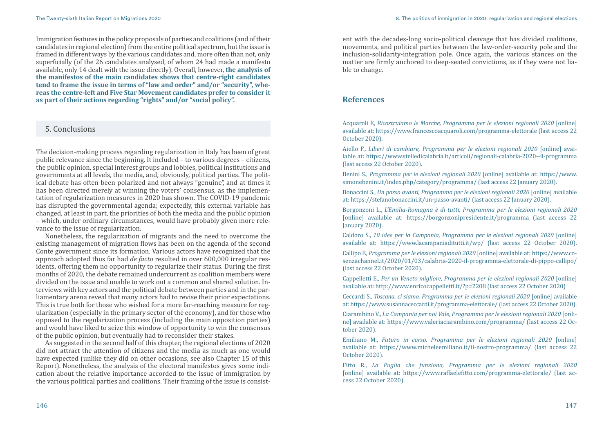Immigration features in the policy proposals of parties and coalitions (and of their candidates in regional election) from the entire political spectrum, but the issue is framed in different ways by the various candidates and, more often than not, only superficially (of the 26 candidates analysed, of whom 24 had made a manifesto available, only 14 dealt with the issue directly). Overall, however, **the analysis of the manifestos of the main candidates shows that centre-right candidates tend to frame the issue in terms of "law and order" and/or "security", whereas the centre-left and Five Star Movement candidates prefer to consider it as part of their actions regarding "rights" and/or "social policy".**

#### 5. Conclusions

The decision-making process regarding regularization in Italy has been of great public relevance since the beginning. It included – to various degrees – citizens, the public opinion, special interest groups and lobbies, political institutions and governments at all levels, the media, and, obviously, political parties. The political debate has often been polarized and not always "genuine", and at times it has been directed merely at winning the voters' consensus, as the implementation of regularization measures in 2020 has shown. The COVID-19 pandemic has disrupted the governmental agenda; expectedly, this external variable has changed, at least in part, the priorities of both the media and the public opinion – which, under ordinary circumstances, would have probably given more relevance to the issue of regularization.

Nonetheless, the regularization of migrants and the need to overcome the existing management of migration flows has been on the agenda of the second Conte government since its formation. Various actors have recognized that the approach adopted thus far had *de facto* resulted in over 600,000 irregular residents, offering them no opportunity to regularize their status. During the first months of 2020, the debate remained undercurrent as coalition members were divided on the issue and unable to work out a common and shared solution. Interviews with key actors and the political debate between parties and in the parliamentary arena reveal that many actors had to revise their prior expectations. This is true both for those who wished for a more far-reaching measure for regularization (especially in the primary sector of the economy), and for those who opposed to the regularization process (including the main opposition parties) and would have liked to seize this window of opportunity to win the consensus of the public opinion, but eventually had to reconsider their stakes.

As suggested in the second half of this chapter, the regional elections of 2020 did not attract the attention of citizens and the media as much as one would have expected (unlike they did on other occasions, see also Chapter 15 of this Report). Nonetheless, the analysis of the electoral manifestos gives some indication about the relative importance accorded to the issue of immigration by the various political parties and coalitions. Their framing of the issue is consistent with the decades-long socio-political cleavage that has divided coalitions, movements, and political parties between the law-order-security pole and the inclusion-solidarity-integration pole. Once again, the various stances on the matter are firmly anchored to deep-seated convictions, as if they were not liable to change.

#### **References**

Acquaroli F., *Ricostruiamo le Marche, Programma per le elezioni regionali 2020* [online] available at: https://www.francescoacquaroli.com/programma-elettorale (last access 22 October 2020).

Aiello F., *Liberi di cambiare, Programma per le elezioni regionali 2020* [online] available at: https://www.stelledicalabria.it/articoli/regionali-calabria-2020--il-programma (last access 22 October 2020).

Benini S., *Programma per le elezioni regionali 2020* [online] available at: https://www. simonebenini.it/index.php/category/programma/ (last access 22 January 2020).

Bonaccini S., *Un passo avanti, Programma per le elezioni regionali 2020* [online] available at: https://stefanobonaccini.it/un-passo-avanti/ (last access 22 January 2020).

Borgonzoni L., *L'Emilia-Romagna è di tutti, Programma per le elezioni regionali 2020* [online] available at: https://borgonzonipresidente.it/programma (last access 22 January 2020).

Caldoro S., *10 idee per la Campania, Programma per le elezioni regionali 2020* [online] available at: https://www.lacampaniaditutti.it/wp/ (last access 22 October 2020).

Callipo F., *Programma per le elezioni regionali 2020* [online] available at: https://www.cosenzachannel.it/2020/01/03/calabria-2020-il-programma-elettorale-di-pippo-callipo/ (last access 22 October 2020).

Cappelletti E., *Per un Veneto migliore, Programma per le elezioni regionali 2020* [online] available at: http://www.enricocappelletti.it/?p=2208 (last access 22 October 2020)

Ceccardi S., *Toscana, ci siamo, Programma per le elezioni regionali 2020* [online] available at: https://www.susannaceccardi.it/programma-elettorale/ (last access 22 October 2020).

Ciarambino V., *La Campania per noi Vale, Programma per le elezioni regionali 2020* [online] available at: https://www.valeriaciarambino.com/programma/ (last access 22 October 2020).

Emiliano M., *Futuro in corso, Programma per le elezioni regionali 2020* [online] available at: https://www.micheleemiliano.it/il-nostro-programma/ (last access 22 October 2020).

Fitto R., *La Puglia che funziona, Programma per le elezioni regionali 2020* [online] available at: https://www.raffaelefitto.com/programma-elettorale/ (last access 22 October 2020).